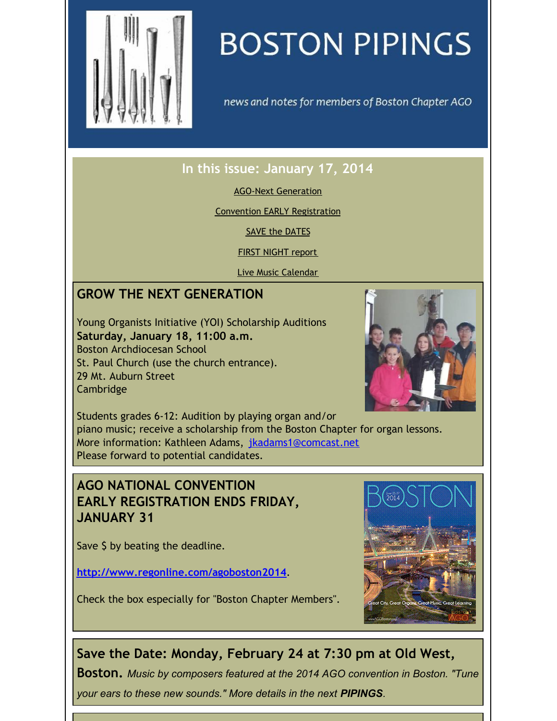<span id="page-0-0"></span>

# **BOSTON PIPINGS**

news and notes for members of Boston Chapter AGO

# **In this issue: January 17, 2014**

AGO-Next [Generation](#page-0-0)

Convention EARLY [Registration](#page-0-0)

SAVE the [DATES](#page-0-0)

FIRST [NIGHT](#page-0-0) report

Live Music [Calendar](#page-0-0)

## **GROW THE NEXT GENERATION**

Young Organists Initiative (YOI) Scholarship Auditions **Saturday, January 18, 11:00 a.m.** Boston Archdiocesan School St. Paul Church (use the church entrance). 29 Mt. Auburn Street Cambridge



Students grades 6-12: Audition by playing organ and/or piano music; receive a scholarship from the Boston Chapter for organ lessons. More information: Kathleen Adams, [jkadams1@comcast.net](mailto:jkadams1@comcast.net) Please forward to potential candidates.

### **AGO NATIONAL CONVENTION EARLY REGISTRATION ENDS FRIDAY, JANUARY 31**

Save \$ by beating the deadline.

**<http://www.regonline.com/agoboston2014>**.

Check the box especially for "Boston Chapter Members".



# **Save the Date: Monday, February 24 at 7:30 pm at Old West,**

**Boston.** *Music by composers featured at the 2014 AGO convention in Boston. "Tune your ears to these new sounds." More details in the next PIPINGS.*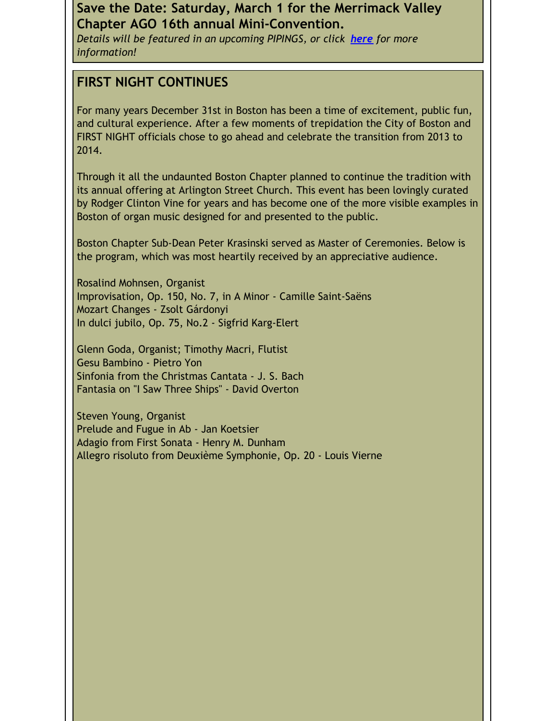#### **Save the Date: Saturday, March 1 for the Merrimack Valley Chapter AGO 16th annual Mini-Convention.**

*Details will be featured in an upcoming PIPINGS, or click [here](https://origin.library.constantcontact.com/doc208/1105786651064/doc/oL2AQn25ScKoO9T2.pdf) for more information!*

#### **FIRST NIGHT CONTINUES**

For many years December 31st in Boston has been a time of excitement, public fun, and cultural experience. After a few moments of trepidation the City of Boston and FIRST NIGHT officials chose to go ahead and celebrate the transition from 2013 to 2014.

Through it all the undaunted Boston Chapter planned to continue the tradition with its annual offering at Arlington Street Church. This event has been lovingly curated by Rodger Clinton Vine for years and has become one of the more visible examples in Boston of organ music designed for and presented to the public.

Boston Chapter Sub-Dean Peter Krasinski served as Master of Ceremonies. Below is the program, which was most heartily received by an appreciative audience.

Rosalind Mohnsen, Organist Improvisation, Op. 150, No. 7, in A Minor - Camille Saint-Saëns Mozart Changes - Zsolt Gárdonyi In dulci jubilo, Op. 75, No.2 - Sigfrid Karg-Elert

Glenn Goda, Organist; Timothy Macri, Flutist Gesu Bambino - Pietro Yon Sinfonia from the Christmas Cantata - J. S. Bach Fantasia on "I Saw Three Ships" - David Overton

Steven Young, Organist Prelude and Fugue in Ab - Jan Koetsier Adagio from First Sonata - Henry M. Dunham Allegro risoluto from Deuxième Symphonie, Op. 20 - Louis Vierne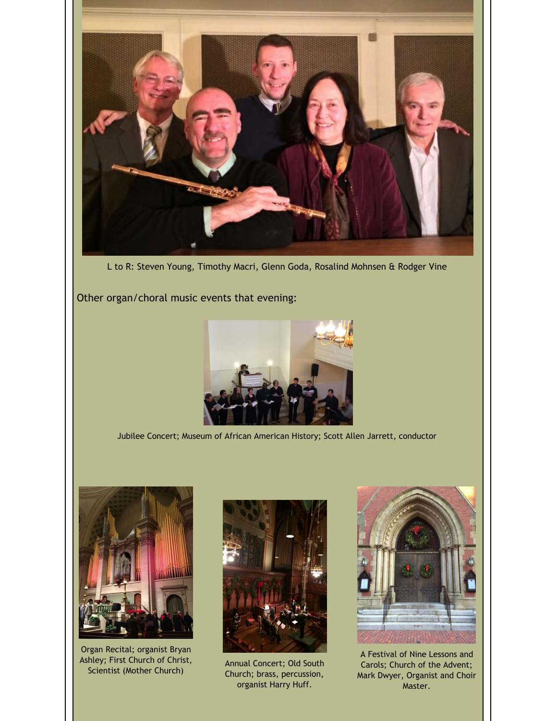

L to R: Steven Young, Timothy Macri, Glenn Goda, Rosalind Mohnsen & Rodger Vine

Other organ/choral music events that evening:



Jubilee Concert; Museum of African American History; Scott Allen Jarrett, conductor



Organ Recital; organist Bryan Ashley; First Church of Christ, Scientist (Mother Church)



Annual Concert; Old South Church; brass, percussion, organist Harry Huff.



A Festival of Nine Lessons and Carols; Church of the Advent; Mark Dwyer, Organist and Choir Master.